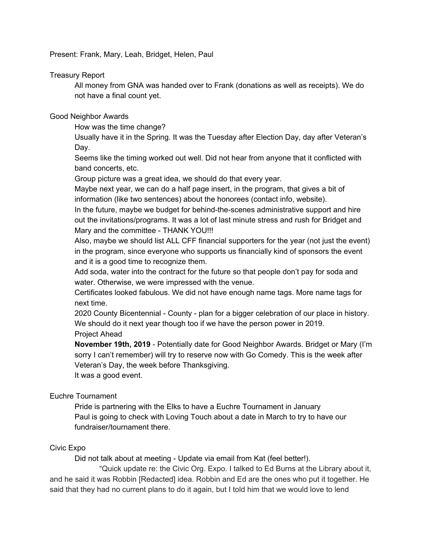Present: Frank, Mary, Leah, Bridget, Helen, Paul

### Treasury Report

All money from GNA was handed over to Frank (donations as well as receipts). We do not have a final count yet.

### Good Neighbor Awards

How was the time change?

Usually have it in the Spring. It was the Tuesday after Election Day, day after Veteran's Day.

Seems like the timing worked out well. Did not hear from anyone that it conflicted with band concerts, etc.

Group picture was a great idea, we should do that every year.

Maybe next year, we can do a half page insert, in the program, that gives a bit of information (like two sentences) about the honorees (contact info, website).

In the future, maybe we budget for behind-the-scenes administrative support and hire out the invitations/programs. It was a lot of last minute stress and rush for Bridget and Mary and the committee - THANK YOU!!!

Also, maybe we should list ALL CFF financial supporters for the year (not just the event) in the program, since everyone who supports us financially kind of sponsors the event and it is a good time to recognize them.

Add soda, water into the contract for the future so that people don't pay for soda and water. Otherwise, we were impressed with the venue.

Certificates looked fabulous. We did not have enough name tags. More name tags for next time.

2020 County Bicentennial - County - plan for a bigger celebration of our place in history. We should do it next year though too if we have the person power in 2019. Project Ahead

**November 19th, 2019** - Potentially date for Good Neighbor Awards. Bridget or Mary (I'm sorry I can't remember) will try to reserve now with Go Comedy. This is the week after Veteran's Day, the week before Thanksgiving. It was a good event.

# Euchre Tournament

Pride is partnering with the Elks to have a Euchre Tournament in January Paul is going to check with Loving Touch about a date in March to try to have our fundraiser/tournament there.

#### Civic Expo

Did not talk about at meeting - Update via email from Kat (feel better!).

"Quick update re: the Civic Org. Expo. I talked to Ed Burns at the Library about it, and he said it was Robbin [Redacted] idea. Robbin and Ed are the ones who put it together. He said that they had no current plans to do it again, but I told him that we would love to lend